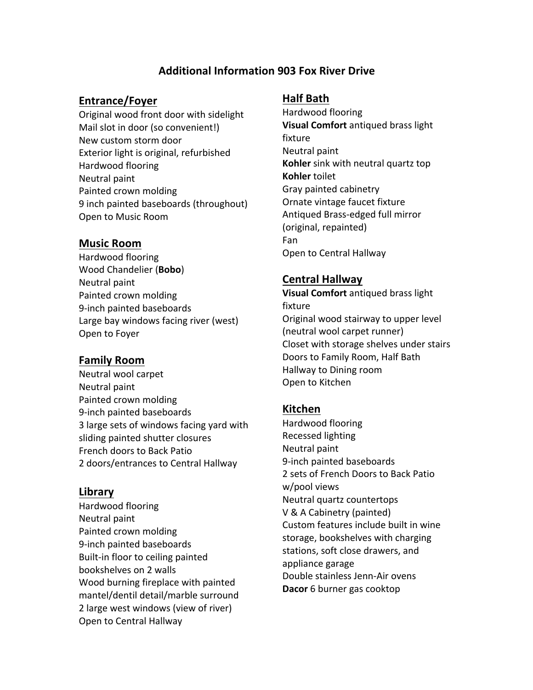# **Additional Information 903 Fox River Drive**

#### **Entrance/Foyer**

Original wood front door with sidelight Mail slot in door (so convenient!) New custom storm door Exterior light is original, refurbished Hardwood flooring Neutral paint Painted crown molding 9 inch painted baseboards (throughout) Open to Music Room

#### **Music Room**

Hardwood flooring Wood Chandelier (**Bobo**) Neutral paint Painted crown molding 9-inch painted baseboards Large bay windows facing river (west) Open to Foyer

#### **Family Room**

Neutral wool carpet Neutral paint Painted crown molding 9-inch painted baseboards 3 large sets of windows facing yard with sliding painted shutter closures French doors to Back Patio 2 doors/entrances to Central Hallway

#### **Library**

Hardwood flooring Neutral paint Painted crown molding 9-inch painted baseboards Built-in floor to ceiling painted bookshelves on 2 walls Wood burning fireplace with painted mantel/dentil detail/marble surround 2 large west windows (view of river) Open to Central Hallway

#### **Half Bath**

Hardwood flooring **Visual Comfort** antiqued brass light fixture Neutral paint **Kohler** sink with neutral quartz top **Kohler** toilet Gray painted cabinetry Ornate vintage faucet fixture Antiqued Brass-edged full mirror (original, repainted) Fan Open to Central Hallway

## **Central Hallway**

**Visual Comfort** antiqued brass light fixture Original wood stairway to upper level (neutral wool carpet runner) Closet with storage shelves under stairs Doors to Family Room, Half Bath Hallway to Dining room Open to Kitchen

### **Kitchen**

Hardwood flooring Recessed lighting Neutral paint 9-inch painted baseboards 2 sets of French Doors to Back Patio w/pool views Neutral quartz countertops V & A Cabinetry (painted) Custom features include built in wine storage, bookshelves with charging stations, soft close drawers, and appliance garage Double stainless Jenn-Air ovens **Dacor** 6 burner gas cooktop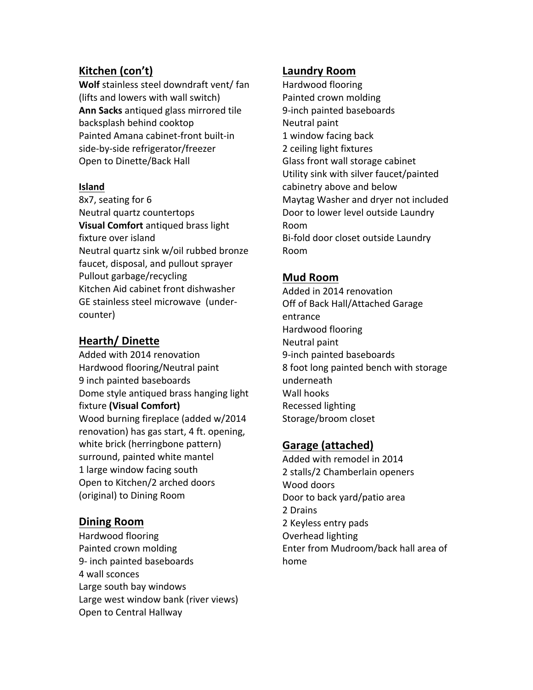# **Kitchen (con't)**

**Wolf** stainless steel downdraft vent/ fan (lifts and lowers with wall switch) **Ann Sacks** antiqued glass mirrored tile backsplash behind cooktop Painted Amana cabinet-front built-in side-by-side refrigerator/freezer Open to Dinette/Back Hall

#### **Island**

8x7, seating for 6 Neutral quartz countertops **Visual Comfort** antiqued brass light fixture over island Neutral quartz sink w/oil rubbed bronze faucet, disposal, and pullout sprayer Pullout garbage/recycling Kitchen Aid cabinet front dishwasher GE stainless steel microwave (undercounter)

# **Hearth/ Dinette**

Added with 2014 renovation Hardwood flooring/Neutral paint 9 inch painted baseboards Dome style antiqued brass hanging light fixture **(Visual Comfort)** Wood burning fireplace (added w/2014 renovation) has gas start, 4 ft. opening, white brick (herringbone pattern) surround, painted white mantel 1 large window facing south Open to Kitchen/2 arched doors (original) to Dining Room

# **Dining Room**

Hardwood flooring Painted crown molding 9- inch painted baseboards 4 wall sconces Large south bay windows Large west window bank (river views) Open to Central Hallway

### **Laundry Room**

Hardwood flooring Painted crown molding 9-inch painted baseboards Neutral paint 1 window facing back 2 ceiling light fixtures Glass front wall storage cabinet Utility sink with silver faucet/painted cabinetry above and below Maytag Washer and dryer not included Door to lower level outside Laundry Room Bi-fold door closet outside Laundry Room

# **Mud Room**

Added in 2014 renovation Off of Back Hall/Attached Garage entrance Hardwood flooring Neutral paint 9-inch painted baseboards 8 foot long painted bench with storage underneath Wall hooks Recessed lighting Storage/broom closet

# **Garage (attached)**

Added with remodel in 2014 2 stalls/2 Chamberlain openers Wood doors Door to back yard/patio area 2 Drains 2 Keyless entry pads Overhead lighting Enter from Mudroom/back hall area of home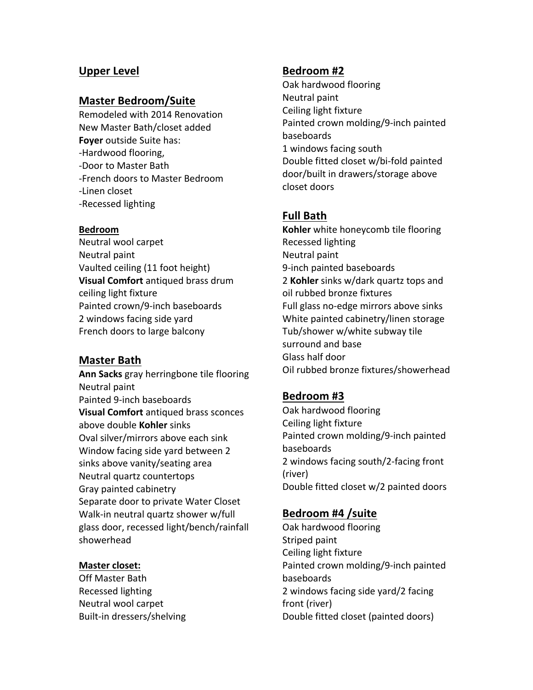## **Upper Level**

#### **Master Bedroom/Suite**

Remodeled with 2014 Renovation New Master Bath/closet added **Foyer** outside Suite has: -Hardwood flooring, -Door to Master Bath -French doors to Master Bedroom -Linen closet -Recessed lighting

#### **Bedroom**

Neutral wool carpet Neutral paint Vaulted ceiling (11 foot height) **Visual Comfort** antiqued brass drum ceiling light fixture Painted crown/9-inch baseboards 2 windows facing side yard French doors to large balcony

#### **Master Bath**

**Ann Sacks** gray herringbone tile flooring Neutral paint Painted 9-inch baseboards **Visual Comfort** antiqued brass sconces above double **Kohler** sinks Oval silver/mirrors above each sink Window facing side yard between 2 sinks above vanity/seating area Neutral quartz countertops Gray painted cabinetry Separate door to private Water Closet Walk-in neutral quartz shower w/full glass door, recessed light/bench/rainfall showerhead

#### **Master closet:**

Off Master Bath Recessed lighting Neutral wool carpet Built-in dressers/shelving

### **Bedroom #2**

Oak hardwood flooring Neutral paint Ceiling light fixture Painted crown molding/9-inch painted baseboards 1 windows facing south Double fitted closet w/bi-fold painted door/built in drawers/storage above closet doors 

### **Full Bath**

**Kohler** white honeycomb tile flooring Recessed lighting Neutral paint 9-inch painted baseboards 2 **Kohler** sinks w/dark quartz tops and oil rubbed bronze fixtures Full glass no-edge mirrors above sinks White painted cabinetry/linen storage Tub/shower w/white subway tile surround and base Glass half door Oil rubbed bronze fixtures/showerhead

### **Bedroom #3**

Oak hardwood flooring Ceiling light fixture Painted crown molding/9-inch painted baseboards 2 windows facing south/2-facing front (river) Double fitted closet w/2 painted doors

### **Bedroom #4 /suite**

Oak hardwood flooring Striped paint Ceiling light fixture Painted crown molding/9-inch painted baseboards 2 windows facing side yard/2 facing front (river) Double fitted closet (painted doors)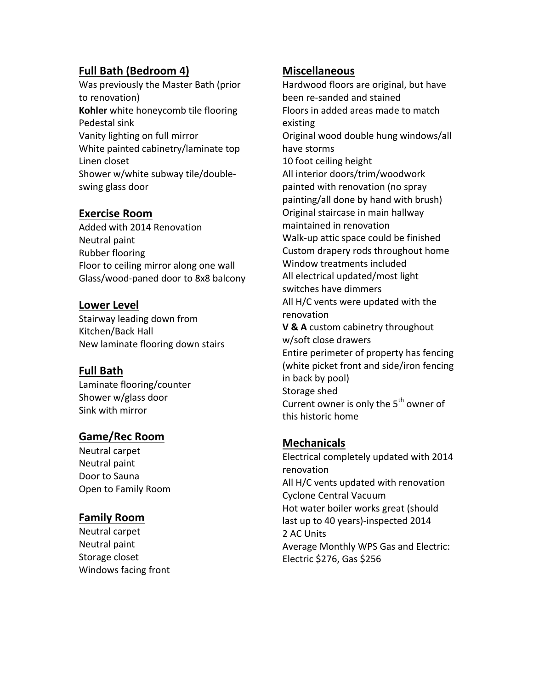# **Full Bath (Bedroom 4)**

Was previously the Master Bath (prior to renovation) **Kohler** white honeycomb tile flooring Pedestal sink Vanity lighting on full mirror White painted cabinetry/laminate top Linen closet Shower w/white subway tile/doubleswing glass door

# **Exercise Room**

Added with 2014 Renovation Neutral paint Rubber flooring Floor to ceiling mirror along one wall Glass/wood-paned door to 8x8 balcony

## **Lower Level**

Stairway leading down from Kitchen/Back Hall New laminate flooring down stairs

# **Full Bath**

Laminate flooring/counter Shower w/glass door Sink with mirror

# **Game/Rec Room**

Neutral carpet Neutral paint Door to Sauna Open to Family Room

# **Family Room**

Neutral carpet Neutral paint Storage closet Windows facing front

# **Miscellaneous**

Hardwood floors are original, but have been re-sanded and stained Floors in added areas made to match existing Original wood double hung windows/all have storms 10 foot ceiling height All interior doors/trim/woodwork painted with renovation (no spray painting/all done by hand with brush) Original staircase in main hallway maintained in renovation Walk-up attic space could be finished Custom drapery rods throughout home Window treatments included All electrical updated/most light switches have dimmers All H/C vents were updated with the renovation **V & A** custom cabinetry throughout w/soft close drawers Entire perimeter of property has fencing (white picket front and side/iron fencing in back by pool) Storage shed Current owner is only the  $5<sup>th</sup>$  owner of this historic home

# **Mechanicals**

Electrical completely updated with 2014 renovation All H/C vents updated with renovation Cyclone Central Vacuum Hot water boiler works great (should last up to 40 years)-inspected 2014 2 AC Units Average Monthly WPS Gas and Electric: Electric  $$276, Gas $256$